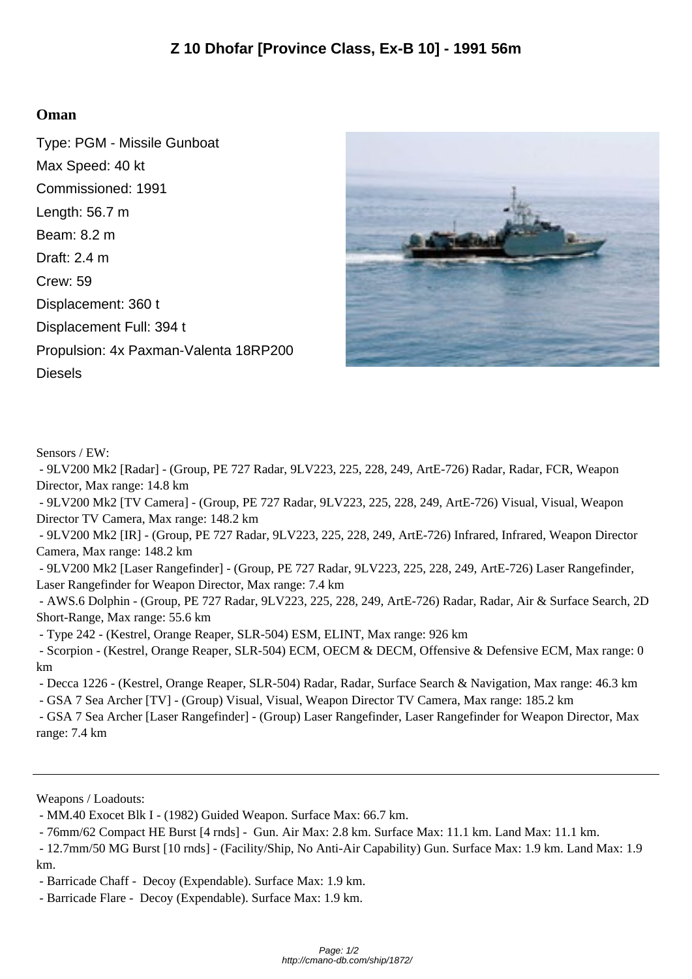## **Oman**

Type: PGM - Missile Gunboat Max Speed: 40 kt Commissioned: 1991 Length: 56.7 m Beam: 8.2 m Draft: 2.4 m Crew: 59 Displacement: 360 t Displacement Full: 394 t Propulsion: 4x Paxman-Valenta 18RP200 Diesels



Sensors / EW:

 - 9LV200 Mk2 [Radar] - (Group, PE 727 Radar, 9LV223, 225, 228, 249, ArtE-726) Radar, Radar, FCR, Weapon Director, Max range: 14.8 km

 - 9LV200 Mk2 [TV Camera] - (Group, PE 727 Radar, 9LV223, 225, 228, 249, ArtE-726) Visual, Visual, Weapon Director TV Camera, Max range: 148.2 km

 - 9LV200 Mk2 [IR] - (Group, PE 727 Radar, 9LV223, 225, 228, 249, ArtE-726) Infrared, Infrared, Weapon Director Camera, Max range: 148.2 km

 - 9LV200 Mk2 [Laser Rangefinder] - (Group, PE 727 Radar, 9LV223, 225, 228, 249, ArtE-726) Laser Rangefinder, Laser Rangefinder for Weapon Director, Max range: 7.4 km

 - AWS.6 Dolphin - (Group, PE 727 Radar, 9LV223, 225, 228, 249, ArtE-726) Radar, Radar, Air & Surface Search, 2D Short-Range, Max range: 55.6 km

- Type 242 - (Kestrel, Orange Reaper, SLR-504) ESM, ELINT, Max range: 926 km

 - Scorpion - (Kestrel, Orange Reaper, SLR-504) ECM, OECM & DECM, Offensive & Defensive ECM, Max range: 0 km

- Decca 1226 - (Kestrel, Orange Reaper, SLR-504) Radar, Radar, Surface Search & Navigation, Max range: 46.3 km

- GSA 7 Sea Archer [TV] - (Group) Visual, Visual, Weapon Director TV Camera, Max range: 185.2 km

 - GSA 7 Sea Archer [Laser Rangefinder] - (Group) Laser Rangefinder, Laser Rangefinder for Weapon Director, Max range: 7.4 km

Weapons / Loadouts:

- MM.40 Exocet Blk I - (1982) Guided Weapon. Surface Max: 66.7 km.

- 76mm/62 Compact HE Burst [4 rnds] - Gun. Air Max: 2.8 km. Surface Max: 11.1 km. Land Max: 11.1 km.

 - 12.7mm/50 MG Burst [10 rnds] - (Facility/Ship, No Anti-Air Capability) Gun. Surface Max: 1.9 km. Land Max: 1.9 km.

- Barricade Chaff - Decoy (Expendable). Surface Max: 1.9 km.

- Barricade Flare - Decoy (Expendable). Surface Max: 1.9 km.